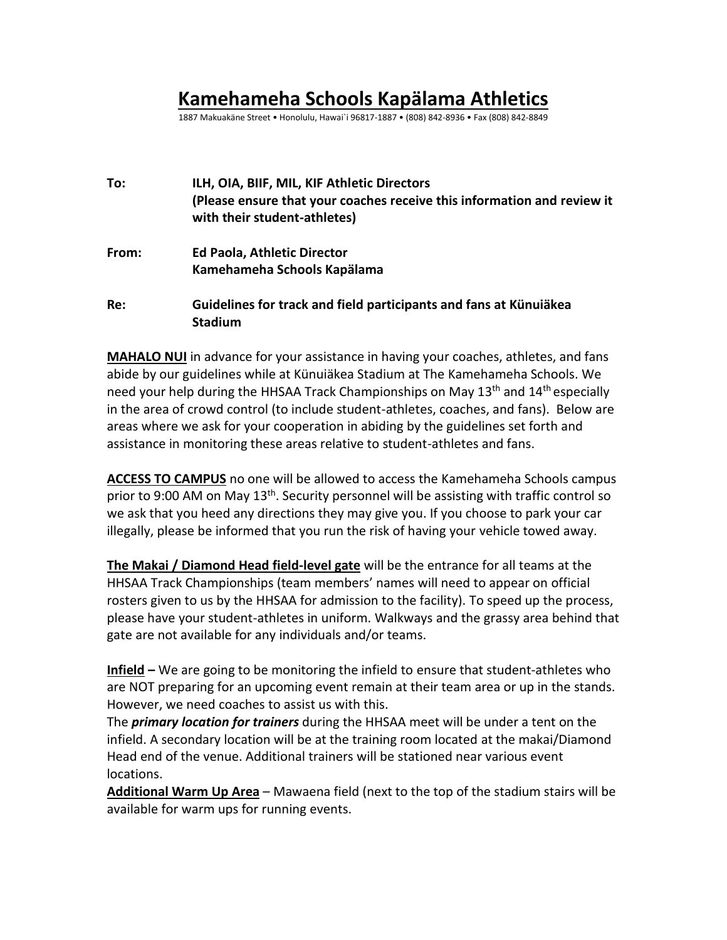## **Kamehameha Schools Kapälama Athletics**

1887 Makuakäne Street • Honolulu, Hawai`i 96817-1887 • (808) 842-8936 • Fax (808) 842-8849

| To:   | ILH, OIA, BIIF, MIL, KIF Athletic Directors<br>(Please ensure that your coaches receive this information and review it<br>with their student-athletes) |
|-------|--------------------------------------------------------------------------------------------------------------------------------------------------------|
| From: | <b>Ed Paola, Athletic Director</b>                                                                                                                     |
|       | Kamehameha Schools Kapälama                                                                                                                            |
| Re:   | Guidelines for track and field participants and fans at Künuiäkea<br><b>Stadium</b>                                                                    |

**MAHALO NUI** in advance for your assistance in having your coaches, athletes, and fans abide by our guidelines while at Künuiäkea Stadium at The Kamehameha Schools. We need your help during the HHSAA Track Championships on May 13<sup>th</sup> and 14<sup>th</sup> especially in the area of crowd control (to include student-athletes, coaches, and fans). Below are areas where we ask for your cooperation in abiding by the guidelines set forth and assistance in monitoring these areas relative to student-athletes and fans.

**ACCESS TO CAMPUS** no one will be allowed to access the Kamehameha Schools campus prior to 9:00 AM on May 13<sup>th</sup>. Security personnel will be assisting with traffic control so we ask that you heed any directions they may give you. If you choose to park your car illegally, please be informed that you run the risk of having your vehicle towed away.

**The Makai / Diamond Head field-level gate** will be the entrance for all teams at the HHSAA Track Championships (team members' names will need to appear on official rosters given to us by the HHSAA for admission to the facility). To speed up the process, please have your student-athletes in uniform. Walkways and the grassy area behind that gate are not available for any individuals and/or teams.

**Infield –** We are going to be monitoring the infield to ensure that student-athletes who are NOT preparing for an upcoming event remain at their team area or up in the stands. However, we need coaches to assist us with this.

The *primary location for trainers* during the HHSAA meet will be under a tent on the infield. A secondary location will be at the training room located at the makai/Diamond Head end of the venue. Additional trainers will be stationed near various event locations.

**Additional Warm Up Area** – Mawaena field (next to the top of the stadium stairs will be available for warm ups for running events.